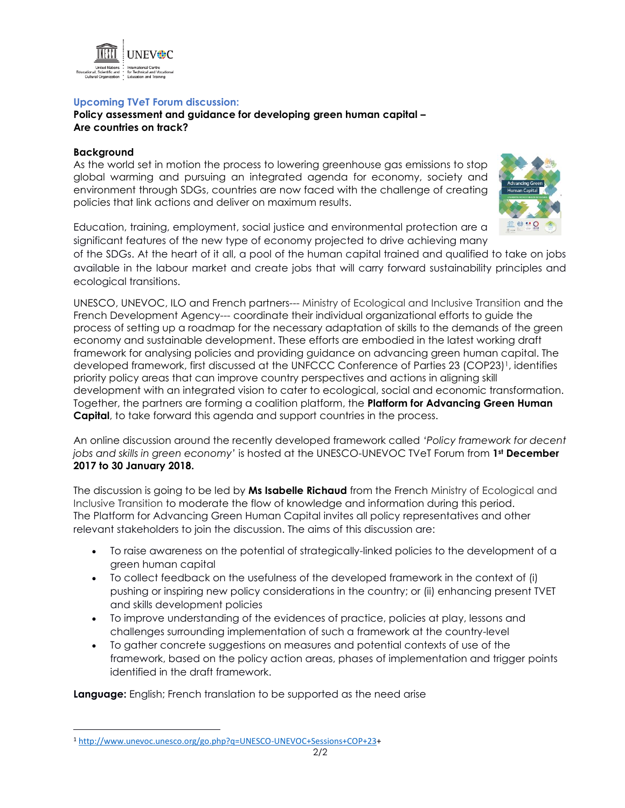

## **Upcoming TV***e***T Forum discussion:**

**Policy assessment and guidance for developing green human capital – Are countries on track?**

## **Background**

 $\overline{a}$ 

As the world set in motion the process to lowering greenhouse gas emissions to stop global warming and pursuing an integrated agenda for economy, society and environment through SDGs, countries are now faced with the challenge of creating policies that link actions and deliver on maximum results.



Education, training, employment, social justice and environmental protection are a significant features of the new type of economy projected to drive achieving many

of the SDGs. At the heart of it all, a pool of the human capital trained and qualified to take on jobs available in the labour market and create jobs that will carry forward sustainability principles and ecological transitions.

UNESCO, UNEVOC, ILO and French partners--- Ministry of Ecological and Inclusive Transition and the French Development Agency--- coordinate their individual organizational efforts to guide the process of setting up a roadmap for the necessary adaptation of skills to the demands of the green economy and sustainable development. These efforts are embodied in the latest working draft framework for analysing policies and providing guidance on advancing green human capital. The developed framework, first discussed at the UNFCCC Conference of Parties 23 (COP23)<sup>1</sup>, identifies priority policy areas that can improve country perspectives and actions in aligning skill development with an integrated vision to cater to ecological, social and economic transformation. Together, the partners are forming a coalition platform, the **Platform for Advancing Green Human Capital**, to take forward this agenda and support countries in the process.

An online discussion around the recently developed framework called *'Policy framework for decent jobs and skills in green economy'* is hosted at the UNESCO-UNEVOC TVeT Forum from **1st December 2017 to 30 January 2018.** 

The discussion is going to be led by **Ms Isabelle Richaud** from the French Ministry of Ecological and Inclusive Transition to moderate the flow of knowledge and information during this period. The Platform for Advancing Green Human Capital invites all policy representatives and other relevant stakeholders to join the discussion. The aims of this discussion are:

- To raise awareness on the potential of strategically-linked policies to the development of a green human capital
- To collect feedback on the usefulness of the developed framework in the context of (i) pushing or inspiring new policy considerations in the country; or (ii) enhancing present TVET and skills development policies
- To improve understanding of the evidences of practice, policies at play, lessons and challenges surrounding implementation of such a framework at the country-level
- To gather concrete suggestions on measures and potential contexts of use of the framework, based on the policy action areas, phases of implementation and trigger points identified in the draft framework.

**Language:** English; French translation to be supported as the need arise

<sup>1</sup> [http://www.unevoc.unesco.org/go.php?q=UNESCO-UNEVOC+Sessions+COP+23+](http://www.unevoc.unesco.org/go.php?q=UNESCO-UNEVOC+Sessions+COP+23)